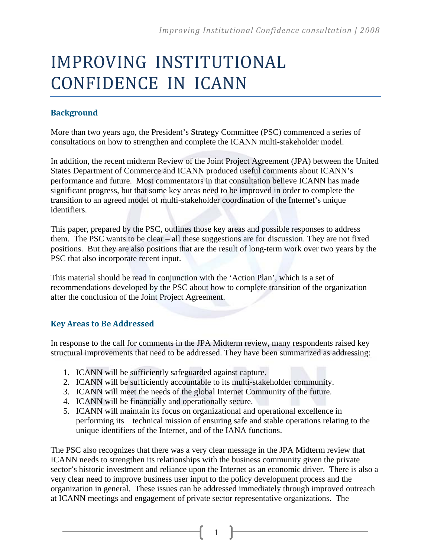# IMPROVING INSTITUTIONAL CONFIDENCE IN ICANN

#### **Background**

More than two years ago, the President's Strategy Committee (PSC) commenced a series of consultations on how to strengthen and complete the ICANN multi-stakeholder model.

In addition, the recent midterm Review of the Joint Project Agreement (JPA) between the United States Department of Commerce and ICANN produced useful comments about ICANN's performance and future. Most commentators in that consultation believe ICANN has made significant progress, but that some key areas need to be improved in order to complete the transition to an agreed model of multi-stakeholder coordination of the Internet's unique identifiers.

This paper, prepared by the PSC, outlines those key areas and possible responses to address them. The PSC wants to be clear – all these suggestions are for discussion. They are not fixed positions. But they are also positions that are the result of long-term work over two years by the PSC that also incorporate recent input.

This material should be read in conjunction with the 'Action Plan', which is a set of recommendations developed by the PSC about how to complete transition of the organization after the conclusion of the Joint Project Agreement.

#### **Key Areas to Be Addressed**

In response to the call for comments in the JPA Midterm review, many respondents raised key structural improvements that need to be addressed. They have been summarized as addressing:

- 1. ICANN will be sufficiently safeguarded against capture.
- 2. ICANN will be sufficiently accountable to its multi-stakeholder community.
- 3. ICANN will meet the needs of the global Internet Community of the future.
- 4. ICANN will be financially and operationally secure.
- 5. ICANN will maintain its focus on organizational and operational excellence in performing its technical mission of ensuring safe and stable operations relating to the unique identifiers of the Internet, and of the IANA functions.

The PSC also recognizes that there was a very clear message in the JPA Midterm review that ICANN needs to strengthen its relationships with the business community given the private sector's historic investment and reliance upon the Internet as an economic driver. There is also a very clear need to improve business user input to the policy development process and the organization in general. These issues can be addressed immediately through improved outreach at ICANN meetings and engagement of private sector representative organizations. The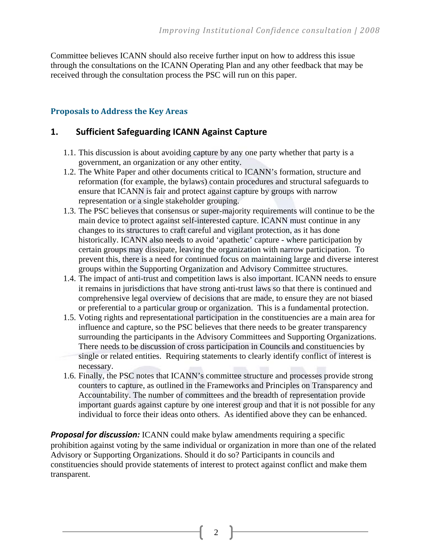Committee believes ICANN should also receive further input on how to address this issue through the consultations on the ICANN Operating Plan and any other feedback that may be received through the consultation process the PSC will run on this paper.

#### **Proposals to Address the Key Areas**

## **1. Sufficient Safeguarding ICANN Against Capture**

- 1.1. This discussion is about avoiding capture by any one party whether that party is a government, an organization or any other entity.
- 1.2. The White Paper and other documents critical to ICANN's formation, structure and reformation (for example, the bylaws) contain procedures and structural safeguards to ensure that ICANN is fair and protect against capture by groups with narrow representation or a single stakeholder grouping.
- 1.3. The PSC believes that consensus or super-majority requirements will continue to be the main device to protect against self-interested capture. ICANN must continue in any changes to its structures to craft careful and vigilant protection, as it has done historically. ICANN also needs to avoid 'apathetic' capture - where participation by certain groups may dissipate, leaving the organization with narrow participation. To prevent this, there is a need for continued focus on maintaining large and diverse interest groups within the Supporting Organization and Advisory Committee structures.
- 1.4. The impact of anti-trust and competition laws is also important. ICANN needs to ensure it remains in jurisdictions that have strong anti-trust laws so that there is continued and comprehensive legal overview of decisions that are made, to ensure they are not biased or preferential to a particular group or organization. This is a fundamental protection.
- 1.5. Voting rights and representational participation in the constituencies are a main area for influence and capture, so the PSC believes that there needs to be greater transparency surrounding the participants in the Advisory Committees and Supporting Organizations. There needs to be discussion of cross participation in Councils and constituencies by single or related entities. Requiring statements to clearly identify conflict of interest is necessary.
- 1.6. Finally, the PSC notes that ICANN's committee structure and processes provide strong counters to capture, as outlined in the Frameworks and Principles on Transparency and Accountability. The number of committees and the breadth of representation provide important guards against capture by one interest group and that it is not possible for any individual to force their ideas onto others. As identified above they can be enhanced.

**Proposal for discussion:** ICANN could make bylaw amendments requiring a specific prohibition against voting by the same individual or organization in more than one of the related Advisory or Supporting Organizations. Should it do so? Participants in councils and constituencies should provide statements of interest to protect against conflict and make them transparent.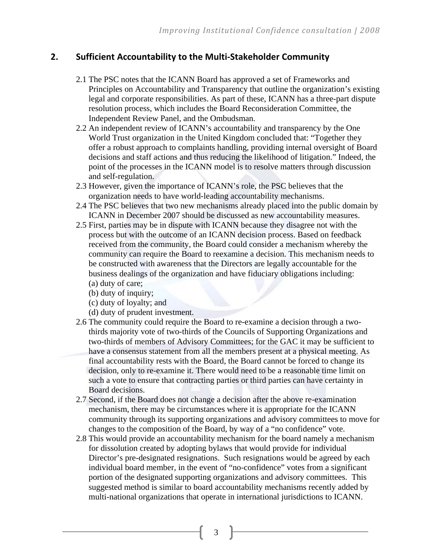## **2. Sufficient Accountability to the Multi‐Stakeholder Community**

- 2.1 The PSC notes that the ICANN Board has approved a set of Frameworks and Principles on Accountability and Transparency that outline the organization's existing legal and corporate responsibilities. As part of these, ICANN has a three-part dispute resolution process, which includes the Board Reconsideration Committee, the Independent Review Panel, and the Ombudsman.
- 2.2 An independent review of ICANN's accountability and transparency by the One World Trust organization in the United Kingdom concluded that: "Together they offer a robust approach to complaints handling, providing internal oversight of Board decisions and staff actions and thus reducing the likelihood of litigation." Indeed, the point of the processes in the ICANN model is to resolve matters through discussion and self-regulation.
- 2.3 However, given the importance of ICANN's role, the PSC believes that the organization needs to have world-leading accountability mechanisms.
- 2.4 The PSC believes that two new mechanisms already placed into the public domain by ICANN in December 2007 should be discussed as new accountability measures.
- 2.5 First, parties may be in dispute with ICANN because they disagree not with the process but with the outcome of an ICANN decision process. Based on feedback received from the community, the Board could consider a mechanism whereby the community can require the Board to reexamine a decision. This mechanism needs to be constructed with awareness that the Directors are legally accountable for the business dealings of the organization and have fiduciary obligations including: (a) duty of care;
	- (b) duty of inquiry;
	- (c) duty of loyalty; and
	- (d) duty of prudent investment.
- 2.6 The community could require the Board to re-examine a decision through a twothirds majority vote of two-thirds of the Councils of Supporting Organizations and two-thirds of members of Advisory Committees; for the GAC it may be sufficient to have a consensus statement from all the members present at a physical meeting. As final accountability rests with the Board, the Board cannot be forced to change its decision, only to re-examine it. There would need to be a reasonable time limit on such a vote to ensure that contracting parties or third parties can have certainty in Board decisions.
- 2.7 Second, if the Board does not change a decision after the above re-examination mechanism, there may be circumstances where it is appropriate for the ICANN community through its supporting organizations and advisory committees to move for changes to the composition of the Board, by way of a "no confidence" vote.
- 2.8 This would provide an accountability mechanism for the board namely a mechanism for dissolution created by adopting bylaws that would provide for individual Director's pre-designated resignations. Such resignations would be agreed by each individual board member, in the event of "no-confidence" votes from a significant portion of the designated supporting organizations and advisory committees. This suggested method is similar to board accountability mechanisms recently added by multi-national organizations that operate in international jurisdictions to ICANN.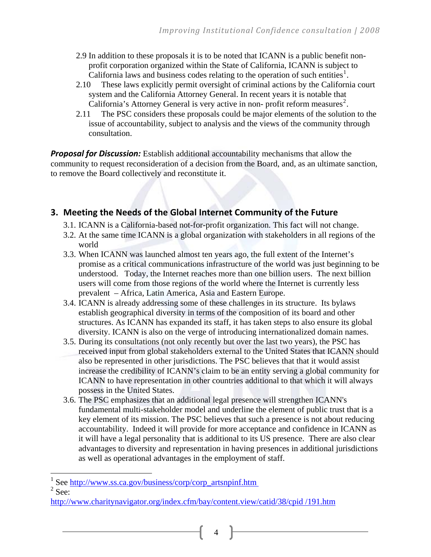- 2.9 In addition to these proposals it is to be noted that ICANN is a public benefit nonprofit corporation organized within the State of California, ICANN is subject to California laws and business codes relating to the operation of such entities<sup>[1](#page-3-0)</sup>.
- 2.10 These laws explicitly permit oversight of criminal actions by the California court system and the California Attorney General. In recent years it is notable that California's Attorney General is very active in non-profit reform measures<sup>[2](#page-3-1)</sup>.
- 2.11 The PSC considers these proposals could be major elements of the solution to the issue of accountability, subject to analysis and the views of the community through consultation.

*Proposal for Discussion:* Establish additional accountability mechanisms that allow the community to request reconsideration of a decision from the Board, and, as an ultimate sanction, to remove the Board collectively and reconstitute it.

## **3. Meeting the Needs of the Global Internet Community of the Future**

- 3.1. ICANN is a California-based not-for-profit organization. This fact will not change.
- 3.2. At the same time ICANN is a global organization with stakeholders in all regions of the world
- 3.3. When ICANN was launched almost ten years ago, the full extent of the Internet's promise as a critical communications infrastructure of the world was just beginning to be understood. Today, the Internet reaches more than one billion users. The next billion users will come from those regions of the world where the Internet is currently less prevalent – Africa, Latin America, Asia and Eastern Europe.
- 3.4. ICANN is already addressing some of these challenges in its structure. Its bylaws establish geographical diversity in terms of the composition of its board and other structures. As ICANN has expanded its staff, it has taken steps to also ensure its global diversity. ICANN is also on the verge of introducing internationalized domain names.
- 3.5. During its consultations (not only recently but over the last two years), the PSC has received input from global stakeholders external to the United States that ICANN should also be represented in other jurisdictions. The PSC believes that that it would assist increase the credibility of ICANN's claim to be an entity serving a global community for ICANN to have representation in other countries additional to that which it will always possess in the United States.
- 3.6. The PSC emphasizes that an additional legal presence will strengthen ICANN's fundamental multi-stakeholder model and underline the element of public trust that is a key element of its mission. The PSC believes that such a presence is not about reducing accountability. Indeed it will provide for more acceptance and confidence in ICANN as it will have a legal personality that is additional to its US presence. There are also clear advantages to diversity and representation in having presences in additional jurisdictions as well as operational advantages in the employment of staff.

<span id="page-3-1"></span> $2$  See:

<span id="page-3-0"></span><sup>1</sup> See [http://www.ss.ca.gov/business/corp/corp\\_artsnpinf.htm](http://www.ss.ca.gov/business/corp/corp_artsnpinf.htm) 2

[http://www.charitynavigator.org/index.cfm/bay/content.view/catid/38/cpid /191.htm](http://www.charitynavigator.org/index.cfm/bay/content.view/catid/38/cpid%20/191.htm)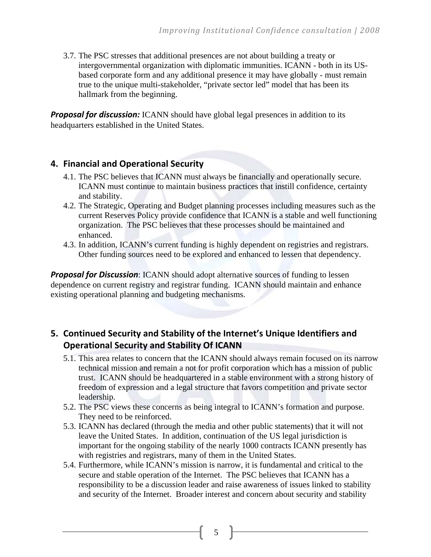3.7. The PSC stresses that additional presences are not about building a treaty or intergovernmental organization with diplomatic immunities. ICANN - both in its USbased corporate form and any additional presence it may have globally - must remain true to the unique multi-stakeholder, "private sector led" model that has been its hallmark from the beginning.

*Proposal for discussion:* ICANN should have global legal presences in addition to its headquarters established in the United States.

#### **4. Financial and Operational Security**

- 4.1. The PSC believes that ICANN must always be financially and operationally secure. ICANN must continue to maintain business practices that instill confidence, certainty and stability.
- 4.2. The Strategic, Operating and Budget planning processes including measures such as the current Reserves Policy provide confidence that ICANN is a stable and well functioning organization. The PSC believes that these processes should be maintained and enhanced.
- 4.3. In addition, ICANN's current funding is highly dependent on registries and registrars. Other funding sources need to be explored and enhanced to lessen that dependency.

*Proposal for Discussion*: ICANN should adopt alternative sources of funding to lessen dependence on current registry and registrar funding. ICANN should maintain and enhance existing operational planning and budgeting mechanisms.

# **5. Continued Security and Stability of the Internet's Unique Identifiers and Operational Security and Stability Of ICANN**

- 5.1. This area relates to concern that the ICANN should always remain focused on its narrow technical mission and remain a not for profit corporation which has a mission of public trust. ICANN should be headquartered in a stable environment with a strong history of freedom of expression and a legal structure that favors competition and private sector leadership.
- 5.2. The PSC views these concerns as being integral to ICANN's formation and purpose. They need to be reinforced.
- 5.3. ICANN has declared (through the media and other public statements) that it will not leave the United States. In addition, continuation of the US legal jurisdiction is important for the ongoing stability of the nearly 1000 contracts ICANN presently has with registries and registrars, many of them in the United States.
- 5.4. Furthermore, while ICANN's mission is narrow, it is fundamental and critical to the secure and stable operation of the Internet. The PSC believes that ICANN has a responsibility to be a discussion leader and raise awareness of issues linked to stability and security of the Internet. Broader interest and concern about security and stability